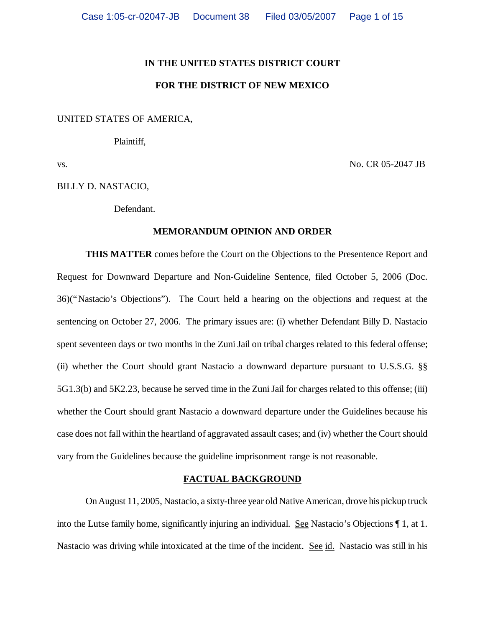#### **IN THE UNITED STATES DISTRICT COURT**

### **FOR THE DISTRICT OF NEW MEXICO**

## UNITED STATES OF AMERICA,

Plaintiff,

vs. No. CR 05-2047 JB

BILLY D. NASTACIO,

Defendant.

### **MEMORANDUM OPINION AND ORDER**

**THIS MATTER** comes before the Court on the Objections to the Presentence Report and Request for Downward Departure and Non-Guideline Sentence, filed October 5, 2006 (Doc. 36)("Nastacio's Objections"). The Court held a hearing on the objections and request at the sentencing on October 27, 2006. The primary issues are: (i) whether Defendant Billy D. Nastacio spent seventeen days or two months in the Zuni Jail on tribal charges related to this federal offense; (ii) whether the Court should grant Nastacio a downward departure pursuant to U.S.S.G. §§ 5G1.3(b) and 5K2.23, because he served time in the Zuni Jail for charges related to this offense; (iii) whether the Court should grant Nastacio a downward departure under the Guidelines because his case does not fall within the heartland of aggravated assault cases; and (iv) whether the Court should vary from the Guidelines because the guideline imprisonment range is not reasonable.

### **FACTUAL BACKGROUND**

On August 11, 2005, Nastacio, a sixty-three year old Native American, drove his pickup truck into the Lutse family home, significantly injuring an individual. See Nastacio's Objections ¶ 1, at 1. Nastacio was driving while intoxicated at the time of the incident. See id. Nastacio was still in his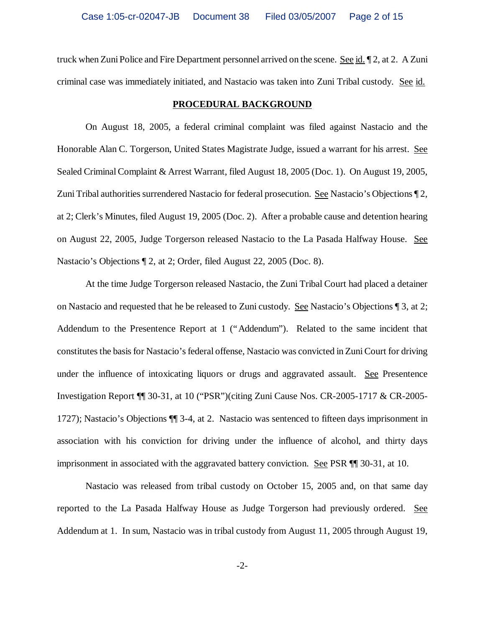truck when Zuni Police and Fire Department personnel arrived on the scene. See id. 12, at 2. A Zuni criminal case was immediately initiated, and Nastacio was taken into Zuni Tribal custody. See id.

#### **PROCEDURAL BACKGROUND**

On August 18, 2005, a federal criminal complaint was filed against Nastacio and the Honorable Alan C. Torgerson, United States Magistrate Judge, issued a warrant for his arrest. See Sealed Criminal Complaint & Arrest Warrant, filed August 18, 2005 (Doc. 1). On August 19, 2005, Zuni Tribal authorities surrendered Nastacio for federal prosecution. See Nastacio's Objections ¶ 2, at 2; Clerk's Minutes, filed August 19, 2005 (Doc. 2). After a probable cause and detention hearing on August 22, 2005, Judge Torgerson released Nastacio to the La Pasada Halfway House. See Nastacio's Objections ¶ 2, at 2; Order, filed August 22, 2005 (Doc. 8).

At the time Judge Torgerson released Nastacio, the Zuni Tribal Court had placed a detainer on Nastacio and requested that he be released to Zuni custody. See Nastacio's Objections ¶ 3, at 2; Addendum to the Presentence Report at 1 ("Addendum"). Related to the same incident that constitutes the basis for Nastacio's federal offense, Nastacio was convicted in Zuni Court for driving under the influence of intoxicating liquors or drugs and aggravated assault. See Presentence Investigation Report ¶¶ 30-31, at 10 ("PSR")(citing Zuni Cause Nos. CR-2005-1717 & CR-2005- 1727); Nastacio's Objections ¶¶ 3-4, at 2. Nastacio was sentenced to fifteen days imprisonment in association with his conviction for driving under the influence of alcohol, and thirty days imprisonment in associated with the aggravated battery conviction. See PSR ¶¶ 30-31, at 10.

Nastacio was released from tribal custody on October 15, 2005 and, on that same day reported to the La Pasada Halfway House as Judge Torgerson had previously ordered. See Addendum at 1. In sum, Nastacio was in tribal custody from August 11, 2005 through August 19,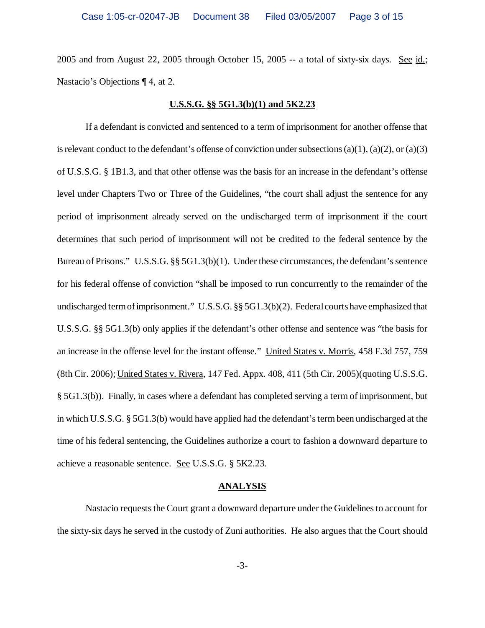2005 and from August 22, 2005 through October 15, 2005 -- a total of sixty-six days. See id.; Nastacio's Objections ¶ 4, at 2.

#### **U.S.S.G. §§ 5G1.3(b)(1) and 5K2.23**

If a defendant is convicted and sentenced to a term of imprisonment for another offense that is relevant conduct to the defendant's offense of conviction under subsections  $(a)(1)$ ,  $(a)(2)$ , or  $(a)(3)$ of U.S.S.G. § 1B1.3, and that other offense was the basis for an increase in the defendant's offense level under Chapters Two or Three of the Guidelines, "the court shall adjust the sentence for any period of imprisonment already served on the undischarged term of imprisonment if the court determines that such period of imprisonment will not be credited to the federal sentence by the Bureau of Prisons." U.S.S.G. §§ 5G1.3(b)(1). Under these circumstances, the defendant's sentence for his federal offense of conviction "shall be imposed to run concurrently to the remainder of the undischarged term of imprisonment." U.S.S.G. §§ 5G1.3(b)(2). Federal courts have emphasized that U.S.S.G. §§ 5G1.3(b) only applies if the defendant's other offense and sentence was "the basis for an increase in the offense level for the instant offense." United States v. Morris, 458 F.3d 757, 759 (8th Cir. 2006); United States v. Rivera, 147 Fed. Appx. 408, 411 (5th Cir. 2005)(quoting U.S.S.G. § 5G1.3(b)). Finally, in cases where a defendant has completed serving a term of imprisonment, but in which U.S.S.G. § 5G1.3(b) would have applied had the defendant's term been undischarged at the time of his federal sentencing, the Guidelines authorize a court to fashion a downward departure to achieve a reasonable sentence. See U.S.S.G. § 5K2.23.

#### **ANALYSIS**

Nastacio requests the Court grant a downward departure under the Guidelines to account for the sixty-six days he served in the custody of Zuni authorities. He also argues that the Court should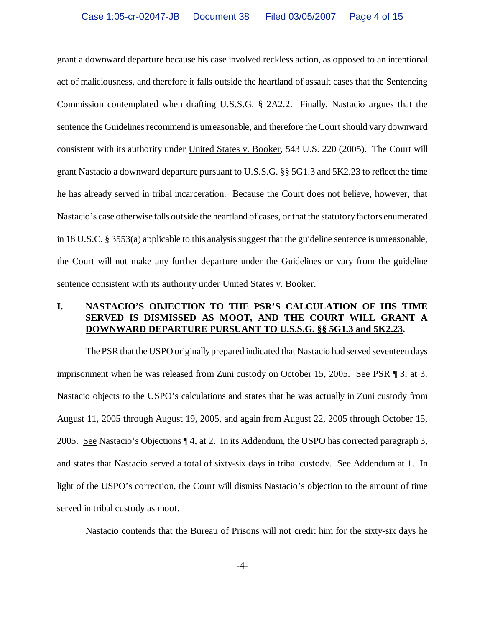grant a downward departure because his case involved reckless action, as opposed to an intentional act of maliciousness, and therefore it falls outside the heartland of assault cases that the Sentencing Commission contemplated when drafting U.S.S.G. § 2A2.2. Finally, Nastacio argues that the sentence the Guidelines recommend is unreasonable, and therefore the Court should vary downward consistent with its authority under United States v. Booker, 543 U.S. 220 (2005). The Court will grant Nastacio a downward departure pursuant to U.S.S.G. §§ 5G1.3 and 5K2.23 to reflect the time he has already served in tribal incarceration. Because the Court does not believe, however, that Nastacio's case otherwise falls outside the heartland of cases, or that the statutory factors enumerated in 18 U.S.C. § 3553(a) applicable to this analysis suggest that the guideline sentence is unreasonable, the Court will not make any further departure under the Guidelines or vary from the guideline sentence consistent with its authority under United States v. Booker.

## **I. NASTACIO'S OBJECTION TO THE PSR'S CALCULATION OF HIS TIME SERVED IS DISMISSED AS MOOT, AND THE COURT WILL GRANT A DOWNWARD DEPARTURE PURSUANT TO U.S.S.G. §§ 5G1.3 and 5K2.23.**

The PSR that the USPO originally prepared indicated that Nastacio had served seventeen days imprisonment when he was released from Zuni custody on October 15, 2005. See PSR ¶ 3, at 3. Nastacio objects to the USPO's calculations and states that he was actually in Zuni custody from August 11, 2005 through August 19, 2005, and again from August 22, 2005 through October 15, 2005. See Nastacio's Objections ¶ 4, at 2. In its Addendum, the USPO has corrected paragraph 3, and states that Nastacio served a total of sixty-six days in tribal custody. See Addendum at 1. In light of the USPO's correction, the Court will dismiss Nastacio's objection to the amount of time served in tribal custody as moot.

Nastacio contends that the Bureau of Prisons will not credit him for the sixty-six days he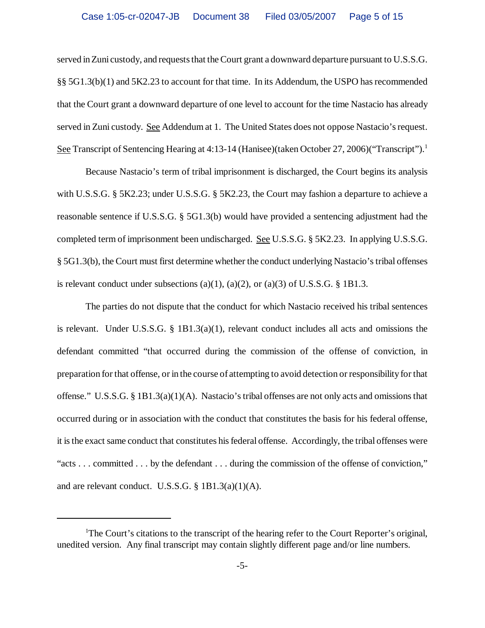served in Zuni custody, and requests that the Court grant a downward departure pursuant to U.S.S.G. §§ 5G1.3(b)(1) and 5K2.23 to account for that time. In its Addendum, the USPO has recommended that the Court grant a downward departure of one level to account for the time Nastacio has already served in Zuni custody. See Addendum at 1. The United States does not oppose Nastacio's request. See Transcript of Sentencing Hearing at 4:13-14 (Hanisee)(taken October 27, 2006)("Transcript").<sup>1</sup>

Because Nastacio's term of tribal imprisonment is discharged, the Court begins its analysis with U.S.S.G. § 5K2.23; under U.S.S.G. § 5K2.23, the Court may fashion a departure to achieve a reasonable sentence if U.S.S.G. § 5G1.3(b) would have provided a sentencing adjustment had the completed term of imprisonment been undischarged. See U.S.S.G. § 5K2.23. In applying U.S.S.G. § 5G1.3(b), the Court must first determine whether the conduct underlying Nastacio's tribal offenses is relevant conduct under subsections (a)(1), (a)(2), or (a)(3) of U.S.S.G.  $\S$  1B1.3.

The parties do not dispute that the conduct for which Nastacio received his tribal sentences is relevant. Under U.S.S.G. § 1B1.3(a)(1), relevant conduct includes all acts and omissions the defendant committed "that occurred during the commission of the offense of conviction, in preparation for that offense, or in the course of attempting to avoid detection or responsibility for that offense." U.S.S.G. § 1B1.3(a)(1)(A). Nastacio's tribal offenses are not only acts and omissions that occurred during or in association with the conduct that constitutes the basis for his federal offense, it is the exact same conduct that constitutes his federal offense. Accordingly, the tribal offenses were "acts . . . committed . . . by the defendant . . . during the commission of the offense of conviction," and are relevant conduct. U.S.S.G. § 1B1.3(a)(1)(A).

<sup>&</sup>lt;sup>1</sup>The Court's citations to the transcript of the hearing refer to the Court Reporter's original, unedited version. Any final transcript may contain slightly different page and/or line numbers.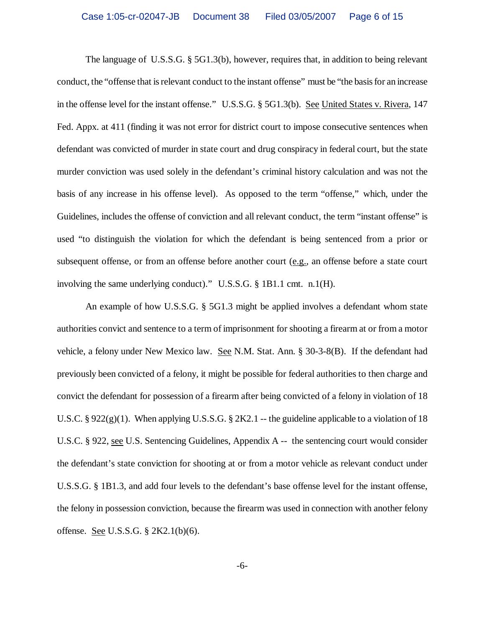The language of U.S.S.G. § 5G1.3(b), however, requires that, in addition to being relevant conduct, the "offense that is relevant conduct to the instant offense" must be "the basis for an increase in the offense level for the instant offense." U.S.S.G. § 5G1.3(b). See United States v. Rivera, 147 Fed. Appx. at 411 (finding it was not error for district court to impose consecutive sentences when defendant was convicted of murder in state court and drug conspiracy in federal court, but the state murder conviction was used solely in the defendant's criminal history calculation and was not the basis of any increase in his offense level). As opposed to the term "offense," which, under the Guidelines, includes the offense of conviction and all relevant conduct, the term "instant offense" is used "to distinguish the violation for which the defendant is being sentenced from a prior or subsequent offense, or from an offense before another court (e.g., an offense before a state court involving the same underlying conduct)." U.S.S.G. § 1B1.1 cmt. n.1(H).

An example of how U.S.S.G. § 5G1.3 might be applied involves a defendant whom state authorities convict and sentence to a term of imprisonment for shooting a firearm at or from a motor vehicle, a felony under New Mexico law. See N.M. Stat. Ann. § 30-3-8(B). If the defendant had previously been convicted of a felony, it might be possible for federal authorities to then charge and convict the defendant for possession of a firearm after being convicted of a felony in violation of 18 U.S.C. § 922(g)(1). When applying U.S.S.G. § 2K2.1 -- the guideline applicable to a violation of 18 U.S.C. § 922, see U.S. Sentencing Guidelines, Appendix A -- the sentencing court would consider the defendant's state conviction for shooting at or from a motor vehicle as relevant conduct under U.S.S.G. § 1B1.3, and add four levels to the defendant's base offense level for the instant offense, the felony in possession conviction, because the firearm was used in connection with another felony offense. See U.S.S.G. § 2K2.1(b)(6).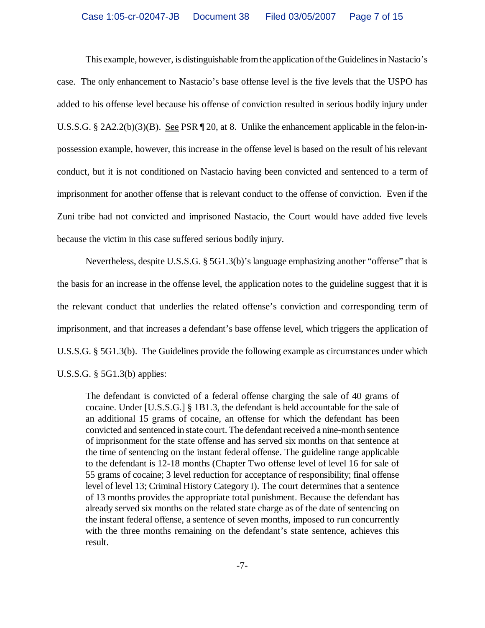This example, however, is distinguishable from the application of the Guidelines in Nastacio's case. The only enhancement to Nastacio's base offense level is the five levels that the USPO has added to his offense level because his offense of conviction resulted in serious bodily injury under U.S.S.G. § 2A2.2(b)(3)(B). See PSR ¶ 20, at 8. Unlike the enhancement applicable in the felon-inpossession example, however, this increase in the offense level is based on the result of his relevant conduct, but it is not conditioned on Nastacio having been convicted and sentenced to a term of imprisonment for another offense that is relevant conduct to the offense of conviction. Even if the Zuni tribe had not convicted and imprisoned Nastacio, the Court would have added five levels because the victim in this case suffered serious bodily injury.

Nevertheless, despite U.S.S.G. § 5G1.3(b)'s language emphasizing another "offense" that is the basis for an increase in the offense level, the application notes to the guideline suggest that it is the relevant conduct that underlies the related offense's conviction and corresponding term of imprisonment, and that increases a defendant's base offense level, which triggers the application of U.S.S.G. § 5G1.3(b). The Guidelines provide the following example as circumstances under which U.S.S.G. § 5G1.3(b) applies:

The defendant is convicted of a federal offense charging the sale of 40 grams of cocaine. Under [U.S.S.G.] § 1B1.3, the defendant is held accountable for the sale of an additional 15 grams of cocaine, an offense for which the defendant has been convicted and sentenced in state court. The defendant received a nine-month sentence of imprisonment for the state offense and has served six months on that sentence at the time of sentencing on the instant federal offense. The guideline range applicable to the defendant is 12-18 months (Chapter Two offense level of level 16 for sale of 55 grams of cocaine; 3 level reduction for acceptance of responsibility; final offense level of level 13; Criminal History Category I). The court determines that a sentence of 13 months provides the appropriate total punishment. Because the defendant has already served six months on the related state charge as of the date of sentencing on the instant federal offense, a sentence of seven months, imposed to run concurrently with the three months remaining on the defendant's state sentence, achieves this result.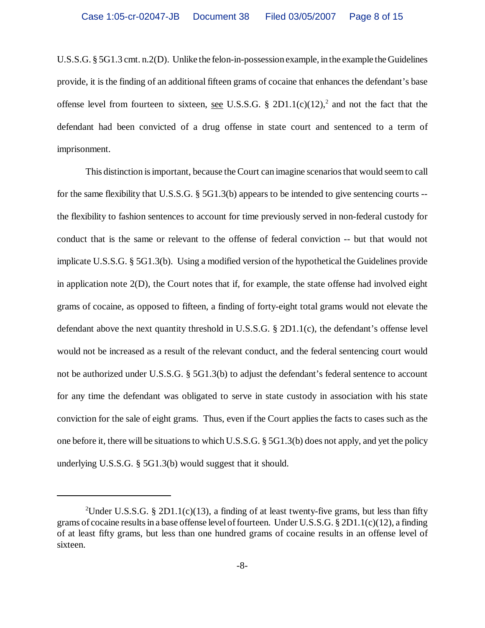U.S.S.G. § 5G1.3 cmt. n.2(D). Unlike the felon-in-possession example, in the example the Guidelines provide, it is the finding of an additional fifteen grams of cocaine that enhances the defendant's base offense level from fourteen to sixteen, <u>see</u> U.S.S.G. § 2D1.1(c)(12),<sup>2</sup> and not the fact that the defendant had been convicted of a drug offense in state court and sentenced to a term of imprisonment.

This distinction is important, because the Court can imagine scenarios that would seem to call for the same flexibility that U.S.S.G. § 5G1.3(b) appears to be intended to give sentencing courts - the flexibility to fashion sentences to account for time previously served in non-federal custody for conduct that is the same or relevant to the offense of federal conviction -- but that would not implicate U.S.S.G. § 5G1.3(b). Using a modified version of the hypothetical the Guidelines provide in application note 2(D), the Court notes that if, for example, the state offense had involved eight grams of cocaine, as opposed to fifteen, a finding of forty-eight total grams would not elevate the defendant above the next quantity threshold in U.S.S.G. § 2D1.1(c), the defendant's offense level would not be increased as a result of the relevant conduct, and the federal sentencing court would not be authorized under U.S.S.G. § 5G1.3(b) to adjust the defendant's federal sentence to account for any time the defendant was obligated to serve in state custody in association with his state conviction for the sale of eight grams. Thus, even if the Court applies the facts to cases such as the one before it, there will be situations to which U.S.S.G. § 5G1.3(b) does not apply, and yet the policy underlying U.S.S.G. § 5G1.3(b) would suggest that it should.

<sup>&</sup>lt;sup>2</sup>Under U.S.S.G. § 2D1.1(c)(13), a finding of at least twenty-five grams, but less than fifty grams of cocaine results in a base offense level of fourteen. Under U.S.S.G. § 2D1.1(c)(12), a finding of at least fifty grams, but less than one hundred grams of cocaine results in an offense level of sixteen.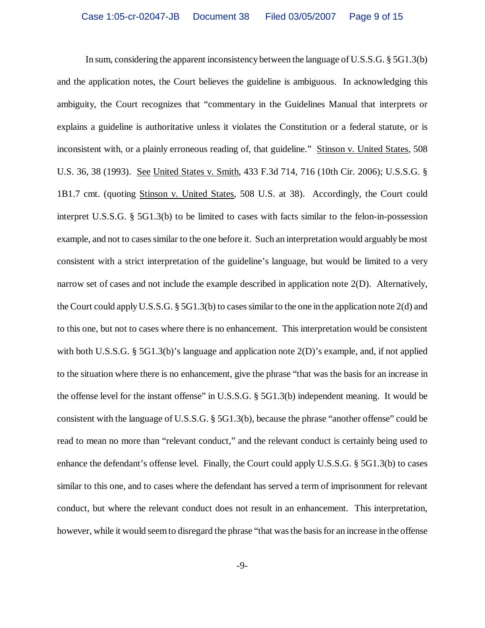In sum, considering the apparent inconsistency between the language of U.S.S.G. § 5G1.3(b) and the application notes, the Court believes the guideline is ambiguous. In acknowledging this ambiguity, the Court recognizes that "commentary in the Guidelines Manual that interprets or explains a guideline is authoritative unless it violates the Constitution or a federal statute, or is inconsistent with, or a plainly erroneous reading of, that guideline." Stinson v. United States, 508 U.S. 36, 38 (1993). See United States v. Smith, 433 F.3d 714, 716 (10th Cir. 2006); U.S.S.G. § 1B1.7 cmt. (quoting Stinson v. United States, 508 U.S. at 38). Accordingly, the Court could interpret U.S.S.G. § 5G1.3(b) to be limited to cases with facts similar to the felon-in-possession example, and not to cases similar to the one before it. Such an interpretation would arguably be most consistent with a strict interpretation of the guideline's language, but would be limited to a very narrow set of cases and not include the example described in application note 2(D). Alternatively, the Court could apply U.S.S.G. § 5G1.3(b) to cases similar to the one in the application note 2(d) and to this one, but not to cases where there is no enhancement. This interpretation would be consistent with both U.S.S.G. § 5G1.3(b)'s language and application note 2(D)'s example, and, if not applied to the situation where there is no enhancement, give the phrase "that was the basis for an increase in the offense level for the instant offense" in U.S.S.G. § 5G1.3(b) independent meaning. It would be consistent with the language of U.S.S.G. § 5G1.3(b), because the phrase "another offense" could be read to mean no more than "relevant conduct," and the relevant conduct is certainly being used to enhance the defendant's offense level. Finally, the Court could apply U.S.S.G. § 5G1.3(b) to cases similar to this one, and to cases where the defendant has served a term of imprisonment for relevant conduct, but where the relevant conduct does not result in an enhancement. This interpretation, however, while it would seem to disregard the phrase "that was the basis for an increase in the offense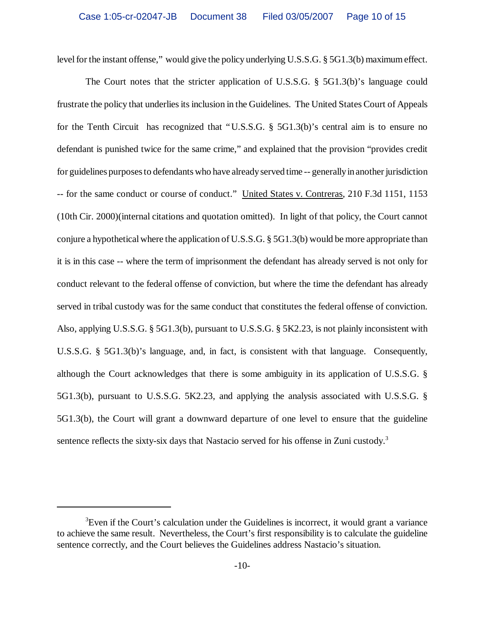level for the instant offense," would give the policy underlying U.S.S.G. § 5G1.3(b) maximum effect.

The Court notes that the stricter application of U.S.S.G. § 5G1.3(b)'s language could frustrate the policy that underlies its inclusion in the Guidelines. The United States Court of Appeals for the Tenth Circuit has recognized that "U.S.S.G. § 5G1.3(b)'s central aim is to ensure no defendant is punished twice for the same crime," and explained that the provision "provides credit for guidelines purposes to defendants who have already served time -- generally in another jurisdiction -- for the same conduct or course of conduct." United States v. Contreras, 210 F.3d 1151, 1153 (10th Cir. 2000)(internal citations and quotation omitted). In light of that policy, the Court cannot conjure a hypothetical where the application of U.S.S.G. § 5G1.3(b) would be more appropriate than it is in this case -- where the term of imprisonment the defendant has already served is not only for conduct relevant to the federal offense of conviction, but where the time the defendant has already served in tribal custody was for the same conduct that constitutes the federal offense of conviction. Also, applying U.S.S.G. § 5G1.3(b), pursuant to U.S.S.G. § 5K2.23, is not plainly inconsistent with U.S.S.G. § 5G1.3(b)'s language, and, in fact, is consistent with that language. Consequently, although the Court acknowledges that there is some ambiguity in its application of U.S.S.G. § 5G1.3(b), pursuant to U.S.S.G. 5K2.23, and applying the analysis associated with U.S.S.G. § 5G1.3(b), the Court will grant a downward departure of one level to ensure that the guideline sentence reflects the sixty-six days that Nastacio served for his offense in Zuni custody.<sup>3</sup>

 ${}^{3}$ Even if the Court's calculation under the Guidelines is incorrect, it would grant a variance to achieve the same result. Nevertheless, the Court's first responsibility is to calculate the guideline sentence correctly, and the Court believes the Guidelines address Nastacio's situation.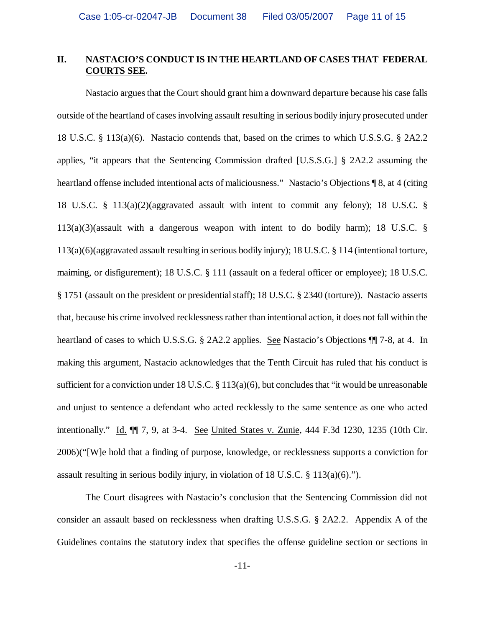## **II. NASTACIO'S CONDUCT IS IN THE HEARTLAND OF CASES THAT FEDERAL COURTS SEE.**

Nastacio argues that the Court should grant him a downward departure because his case falls outside of the heartland of cases involving assault resulting in serious bodily injury prosecuted under 18 U.S.C. § 113(a)(6). Nastacio contends that, based on the crimes to which U.S.S.G. § 2A2.2 applies, "it appears that the Sentencing Commission drafted [U.S.S.G.] § 2A2.2 assuming the heartland offense included intentional acts of maliciousness." Nastacio's Objections ¶ 8, at 4 (citing 18 U.S.C. § 113(a)(2)(aggravated assault with intent to commit any felony); 18 U.S.C. §  $113(a)(3)($ assault with a dangerous weapon with intent to do bodily harm); 18 U.S.C. § 113(a)(6)(aggravated assault resulting in serious bodily injury); 18 U.S.C. § 114 (intentional torture, maiming, or disfigurement); 18 U.S.C. § 111 (assault on a federal officer or employee); 18 U.S.C. § 1751 (assault on the president or presidential staff); 18 U.S.C. § 2340 (torture)). Nastacio asserts that, because his crime involved recklessness rather than intentional action, it does not fall within the heartland of cases to which U.S.S.G. § 2A2.2 applies. See Nastacio's Objections ¶ 7-8, at 4. In making this argument, Nastacio acknowledges that the Tenth Circuit has ruled that his conduct is sufficient for a conviction under 18 U.S.C. § 113(a)(6), but concludes that "it would be unreasonable and unjust to sentence a defendant who acted recklessly to the same sentence as one who acted intentionally." Id. ¶¶ 7, 9, at 3-4. See United States v. Zunie, 444 F.3d 1230, 1235 (10th Cir. 2006)("[W]e hold that a finding of purpose, knowledge, or recklessness supports a conviction for assault resulting in serious bodily injury, in violation of 18 U.S.C. § 113(a)(6).").

The Court disagrees with Nastacio's conclusion that the Sentencing Commission did not consider an assault based on recklessness when drafting U.S.S.G. § 2A2.2. Appendix A of the Guidelines contains the statutory index that specifies the offense guideline section or sections in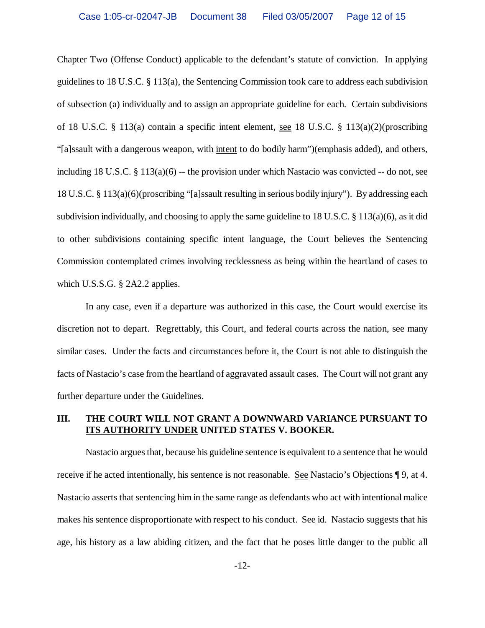Chapter Two (Offense Conduct) applicable to the defendant's statute of conviction. In applying guidelines to 18 U.S.C. § 113(a), the Sentencing Commission took care to address each subdivision of subsection (a) individually and to assign an appropriate guideline for each. Certain subdivisions of 18 U.S.C. § 113(a) contain a specific intent element, see 18 U.S.C. § 113(a)(2)(proscribing "[a]ssault with a dangerous weapon, with intent to do bodily harm")(emphasis added), and others, including 18 U.S.C.  $\S 113(a)(6)$  -- the provision under which Nastacio was convicted  $-$ - do not, see 18 U.S.C. § 113(a)(6)(proscribing "[a]ssault resulting in serious bodily injury"). By addressing each subdivision individually, and choosing to apply the same guideline to 18 U.S.C. § 113(a)(6), as it did to other subdivisions containing specific intent language, the Court believes the Sentencing Commission contemplated crimes involving recklessness as being within the heartland of cases to which U.S.S.G. § 2A2.2 applies.

In any case, even if a departure was authorized in this case, the Court would exercise its discretion not to depart. Regrettably, this Court, and federal courts across the nation, see many similar cases. Under the facts and circumstances before it, the Court is not able to distinguish the facts of Nastacio's case from the heartland of aggravated assault cases. The Court will not grant any further departure under the Guidelines.

# **III. THE COURT WILL NOT GRANT A DOWNWARD VARIANCE PURSUANT TO ITS AUTHORITY UNDER UNITED STATES V. BOOKER.**

Nastacio argues that, because his guideline sentence is equivalent to a sentence that he would receive if he acted intentionally, his sentence is not reasonable. See Nastacio's Objections ¶ 9, at 4. Nastacio asserts that sentencing him in the same range as defendants who act with intentional malice makes his sentence disproportionate with respect to his conduct. See id. Nastacio suggests that his age, his history as a law abiding citizen, and the fact that he poses little danger to the public all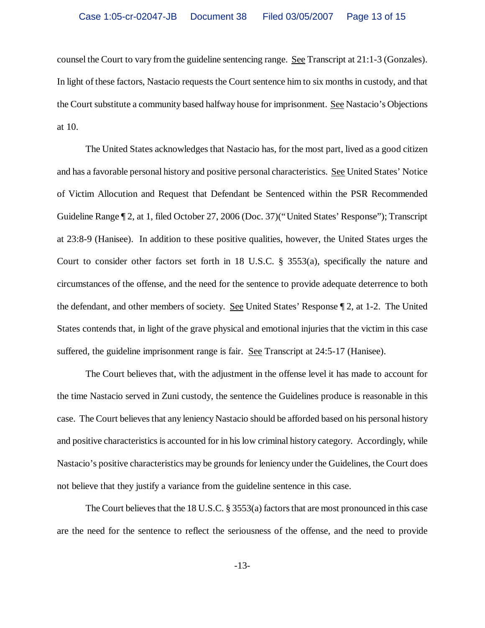counsel the Court to vary from the guideline sentencing range. See Transcript at 21:1-3 (Gonzales). In light of these factors, Nastacio requests the Court sentence him to six months in custody, and that the Court substitute a community based halfway house for imprisonment. See Nastacio's Objections at 10.

The United States acknowledges that Nastacio has, for the most part, lived as a good citizen and has a favorable personal history and positive personal characteristics. See United States' Notice of Victim Allocution and Request that Defendant be Sentenced within the PSR Recommended Guideline Range ¶ 2, at 1, filed October 27, 2006 (Doc. 37)("United States' Response"); Transcript at 23:8-9 (Hanisee). In addition to these positive qualities, however, the United States urges the Court to consider other factors set forth in 18 U.S.C.  $\S$  3553(a), specifically the nature and circumstances of the offense, and the need for the sentence to provide adequate deterrence to both the defendant, and other members of society. See United States' Response ¶ 2, at 1-2. The United States contends that, in light of the grave physical and emotional injuries that the victim in this case suffered, the guideline imprisonment range is fair. See Transcript at 24:5-17 (Hanisee).

The Court believes that, with the adjustment in the offense level it has made to account for the time Nastacio served in Zuni custody, the sentence the Guidelines produce is reasonable in this case. The Court believes that any leniency Nastacio should be afforded based on his personal history and positive characteristics is accounted for in his low criminal history category. Accordingly, while Nastacio's positive characteristics may be grounds for leniency under the Guidelines, the Court does not believe that they justify a variance from the guideline sentence in this case.

The Court believes that the 18 U.S.C. § 3553(a) factors that are most pronounced in this case are the need for the sentence to reflect the seriousness of the offense, and the need to provide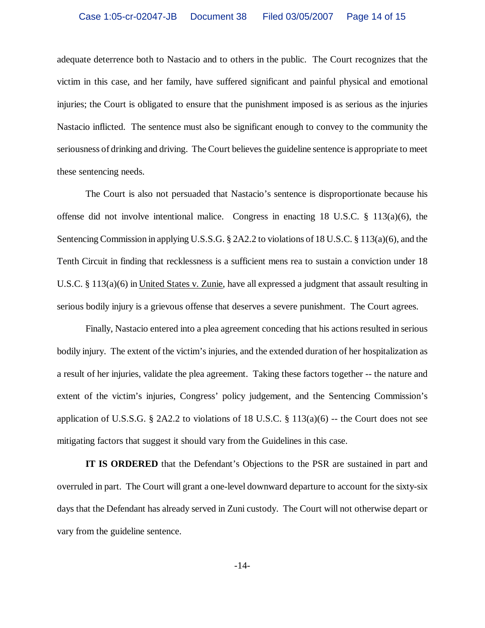adequate deterrence both to Nastacio and to others in the public. The Court recognizes that the victim in this case, and her family, have suffered significant and painful physical and emotional injuries; the Court is obligated to ensure that the punishment imposed is as serious as the injuries Nastacio inflicted. The sentence must also be significant enough to convey to the community the seriousness of drinking and driving. The Court believes the guideline sentence is appropriate to meet these sentencing needs.

The Court is also not persuaded that Nastacio's sentence is disproportionate because his offense did not involve intentional malice. Congress in enacting 18 U.S.C.  $\S$  113(a)(6), the Sentencing Commission in applying U.S.S.G. § 2A2.2 to violations of 18 U.S.C. § 113(a)(6), and the Tenth Circuit in finding that recklessness is a sufficient mens rea to sustain a conviction under 18 U.S.C. § 113(a)(6) in United States v. Zunie, have all expressed a judgment that assault resulting in serious bodily injury is a grievous offense that deserves a severe punishment. The Court agrees.

Finally, Nastacio entered into a plea agreement conceding that his actions resulted in serious bodily injury. The extent of the victim's injuries, and the extended duration of her hospitalization as a result of her injuries, validate the plea agreement. Taking these factors together -- the nature and extent of the victim's injuries, Congress' policy judgement, and the Sentencing Commission's application of U.S.S.G. § 2A2.2 to violations of 18 U.S.C. § 113(a)(6) -- the Court does not see mitigating factors that suggest it should vary from the Guidelines in this case.

**IT IS ORDERED** that the Defendant's Objections to the PSR are sustained in part and overruled in part. The Court will grant a one-level downward departure to account for the sixty-six days that the Defendant has already served in Zuni custody. The Court will not otherwise depart or vary from the guideline sentence.